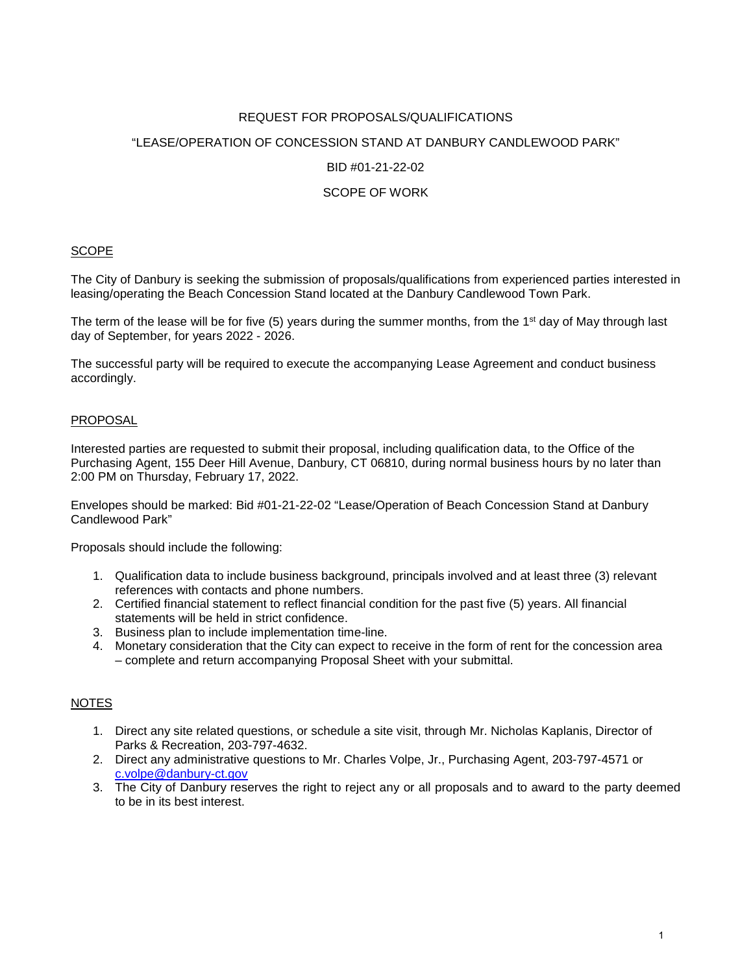## REQUEST FOR PROPOSALS/QUALIFICATIONS

#### "LEASE/OPERATION OF CONCESSION STAND AT DANBURY CANDLEWOOD PARK"

#### BID #01-21-22-02

#### SCOPE OF WORK

#### SCOPE

The City of Danbury is seeking the submission of proposals/qualifications from experienced parties interested in leasing/operating the Beach Concession Stand located at the Danbury Candlewood Town Park.

The term of the lease will be for five (5) years during the summer months, from the 1<sup>st</sup> day of May through last day of September, for years 2022 - 2026.

The successful party will be required to execute the accompanying Lease Agreement and conduct business accordingly.

#### PROPOSAL

Interested parties are requested to submit their proposal, including qualification data, to the Office of the Purchasing Agent, 155 Deer Hill Avenue, Danbury, CT 06810, during normal business hours by no later than 2:00 PM on Thursday, February 17, 2022.

Envelopes should be marked: Bid #01-21-22-02 "Lease/Operation of Beach Concession Stand at Danbury Candlewood Park"

Proposals should include the following:

- 1. Qualification data to include business background, principals involved and at least three (3) relevant references with contacts and phone numbers.
- 2. Certified financial statement to reflect financial condition for the past five (5) years. All financial statements will be held in strict confidence.
- 3. Business plan to include implementation time-line.
- 4. Monetary consideration that the City can expect to receive in the form of rent for the concession area – complete and return accompanying Proposal Sheet with your submittal.

#### NOTES

- 1. Direct any site related questions, or schedule a site visit, through Mr. Nicholas Kaplanis, Director of Parks & Recreation, 203-797-4632.
- 2. Direct any administrative questions to Mr. Charles Volpe, Jr., Purchasing Agent, 203-797-4571 or c.volpe@danbury-ct.gov
- 3. The City of Danbury reserves the right to reject any or all proposals and to award to the party deemed to be in its best interest.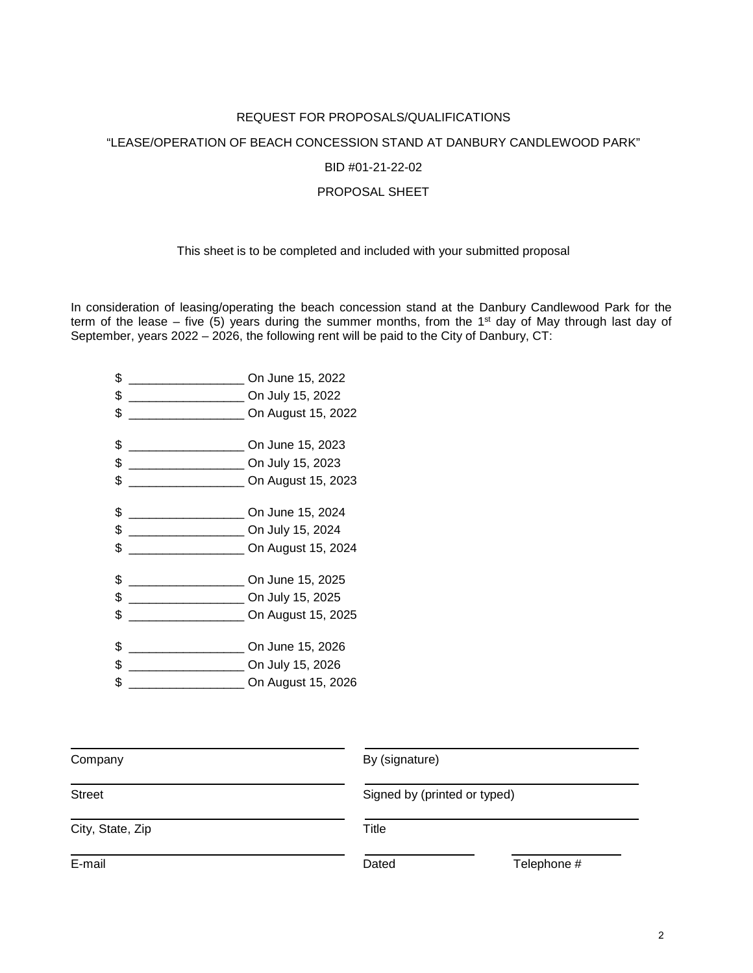# REQUEST FOR PROPOSALS/QUALIFICATIONS

# "LEASE/OPERATION OF BEACH CONCESSION STAND AT DANBURY CANDLEWOOD PARK"

#### BID #01-21-22-02

### PROPOSAL SHEET

# This sheet is to be completed and included with your submitted proposal

In consideration of leasing/operating the beach concession stand at the Danbury Candlewood Park for the term of the lease – five (5) years during the summer months, from the 1<sup>st</sup> day of May through last day of September, years 2022 – 2026, the following rent will be paid to the City of Danbury, CT:

| \$                                            | On June 15, 2022   |
|-----------------------------------------------|--------------------|
| \$                                            | On July 15, 2022   |
| \$                                            | On August 15, 2022 |
| \$                                            | On June 15, 2023   |
| \$                                            | On July 15, 2023   |
| \$                                            | On August 15, 2023 |
| \$<br><u> 1980 - Johann Barbara, martin a</u> | On June 15, 2024   |
| \$                                            | On July 15, 2024   |
| \$                                            | On August 15, 2024 |
| \$                                            | On June 15, 2025   |
| \$                                            | On July 15, 2025   |
| \$                                            | On August 15, 2025 |
| \$                                            | On June 15, 2026   |
| \$                                            | On July 15, 2026   |
| \$                                            | On August 15, 2026 |

| By (signature)<br>Company |       |                              |  |
|---------------------------|-------|------------------------------|--|
| <b>Street</b>             |       | Signed by (printed or typed) |  |
| City, State, Zip          | Title |                              |  |
| E-mail                    | Dated | Telephone #                  |  |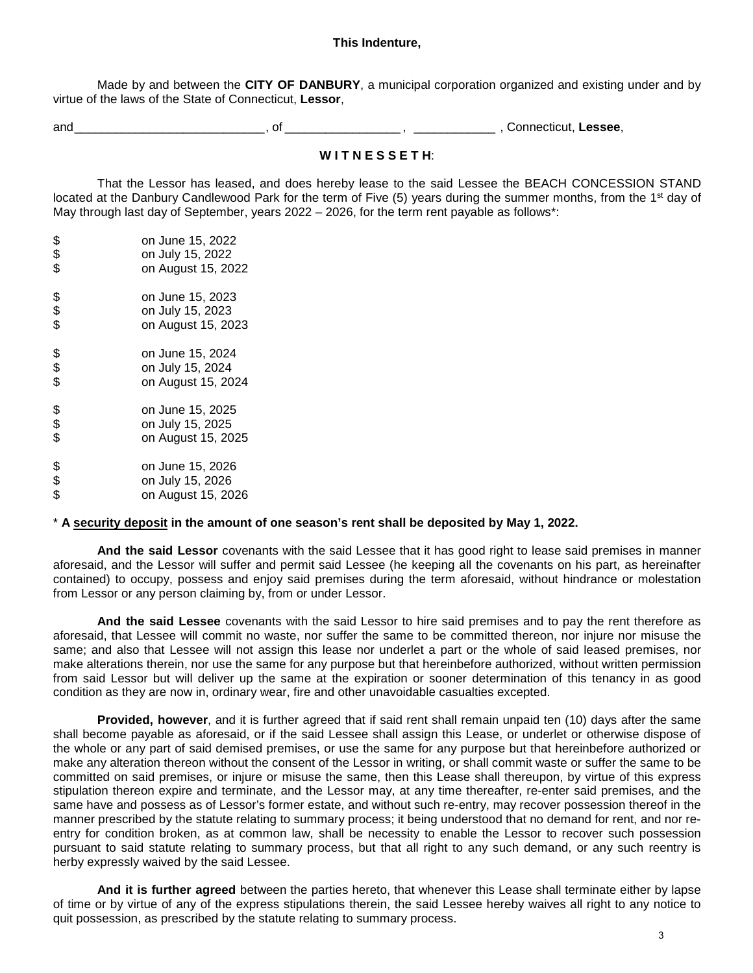#### **This Indenture,**

Made by and between the **CITY OF DANBURY**, a municipal corporation organized and existing under and by virtue of the laws of the State of Connecticut, **Lessor**,

and \_\_\_\_\_\_\_\_\_\_\_\_\_\_\_\_\_\_\_\_\_\_\_\_\_\_\_\_ , of \_\_\_\_\_\_\_\_\_\_\_\_\_\_\_\_\_ , \_\_\_\_\_\_\_\_\_\_\_\_ , Connecticut, **Lessee**,

# **W I T N E S S E T H**:

That the Lessor has leased, and does hereby lease to the said Lessee the BEACH CONCESSION STAND located at the Danbury Candlewood Park for the term of Five (5) years during the summer months, from the 1<sup>st</sup> day of May through last day of September, years 2022 – 2026, for the term rent payable as follows\*:

| \$<br>\$<br>\$ | on June 15, 2022<br>on July 15, 2022 |
|----------------|--------------------------------------|
|                | on August 15, 2022                   |
| \$             | on June 15, 2023                     |
| \$             | on July 15, 2023                     |
| \$             | on August 15, 2023                   |
| \$             | on June 15, 2024                     |
| \$             | on July 15, 2024                     |
| \$             | on August 15, 2024                   |
| \$             | on June 15, 2025                     |
| \$             | on July 15, 2025                     |
| \$             | on August 15, 2025                   |
| \$             | on June 15, 2026                     |
|                | on July 15, 2026                     |
| \$             | on August 15, 2026                   |

#### \* **A security deposit in the amount of one season's rent shall be deposited by May 1, 2022.**

**And the said Lessor** covenants with the said Lessee that it has good right to lease said premises in manner aforesaid, and the Lessor will suffer and permit said Lessee (he keeping all the covenants on his part, as hereinafter contained) to occupy, possess and enjoy said premises during the term aforesaid, without hindrance or molestation from Lessor or any person claiming by, from or under Lessor.

**And the said Lessee** covenants with the said Lessor to hire said premises and to pay the rent therefore as aforesaid, that Lessee will commit no waste, nor suffer the same to be committed thereon, nor injure nor misuse the same; and also that Lessee will not assign this lease nor underlet a part or the whole of said leased premises, nor make alterations therein, nor use the same for any purpose but that hereinbefore authorized, without written permission from said Lessor but will deliver up the same at the expiration or sooner determination of this tenancy in as good condition as they are now in, ordinary wear, fire and other unavoidable casualties excepted.

**Provided, however**, and it is further agreed that if said rent shall remain unpaid ten (10) days after the same shall become payable as aforesaid, or if the said Lessee shall assign this Lease, or underlet or otherwise dispose of the whole or any part of said demised premises, or use the same for any purpose but that hereinbefore authorized or make any alteration thereon without the consent of the Lessor in writing, or shall commit waste or suffer the same to be committed on said premises, or injure or misuse the same, then this Lease shall thereupon, by virtue of this express stipulation thereon expire and terminate, and the Lessor may, at any time thereafter, re-enter said premises, and the same have and possess as of Lessor's former estate, and without such re-entry, may recover possession thereof in the manner prescribed by the statute relating to summary process; it being understood that no demand for rent, and nor reentry for condition broken, as at common law, shall be necessity to enable the Lessor to recover such possession pursuant to said statute relating to summary process, but that all right to any such demand, or any such reentry is herby expressly waived by the said Lessee.

**And it is further agreed** between the parties hereto, that whenever this Lease shall terminate either by lapse of time or by virtue of any of the express stipulations therein, the said Lessee hereby waives all right to any notice to quit possession, as prescribed by the statute relating to summary process.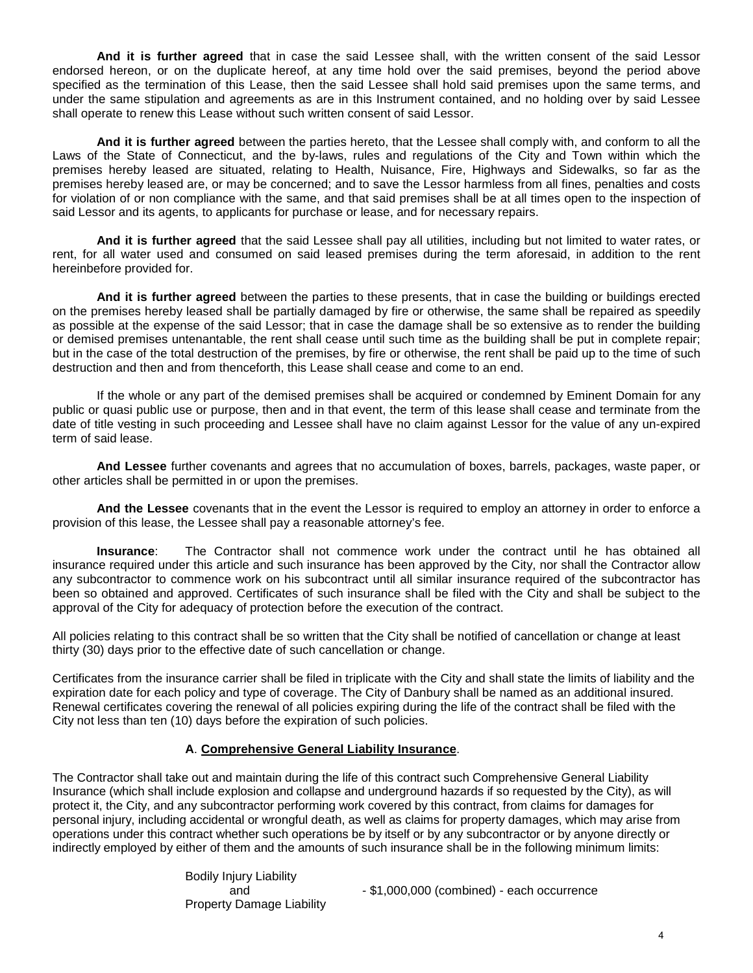**And it is further agreed** that in case the said Lessee shall, with the written consent of the said Lessor endorsed hereon, or on the duplicate hereof, at any time hold over the said premises, beyond the period above specified as the termination of this Lease, then the said Lessee shall hold said premises upon the same terms, and under the same stipulation and agreements as are in this Instrument contained, and no holding over by said Lessee shall operate to renew this Lease without such written consent of said Lessor.

**And it is further agreed** between the parties hereto, that the Lessee shall comply with, and conform to all the Laws of the State of Connecticut, and the by-laws, rules and regulations of the City and Town within which the premises hereby leased are situated, relating to Health, Nuisance, Fire, Highways and Sidewalks, so far as the premises hereby leased are, or may be concerned; and to save the Lessor harmless from all fines, penalties and costs for violation of or non compliance with the same, and that said premises shall be at all times open to the inspection of said Lessor and its agents, to applicants for purchase or lease, and for necessary repairs.

**And it is further agreed** that the said Lessee shall pay all utilities, including but not limited to water rates, or rent, for all water used and consumed on said leased premises during the term aforesaid, in addition to the rent hereinbefore provided for.

**And it is further agreed** between the parties to these presents, that in case the building or buildings erected on the premises hereby leased shall be partially damaged by fire or otherwise, the same shall be repaired as speedily as possible at the expense of the said Lessor; that in case the damage shall be so extensive as to render the building or demised premises untenantable, the rent shall cease until such time as the building shall be put in complete repair; but in the case of the total destruction of the premises, by fire or otherwise, the rent shall be paid up to the time of such destruction and then and from thenceforth, this Lease shall cease and come to an end.

If the whole or any part of the demised premises shall be acquired or condemned by Eminent Domain for any public or quasi public use or purpose, then and in that event, the term of this lease shall cease and terminate from the date of title vesting in such proceeding and Lessee shall have no claim against Lessor for the value of any un-expired term of said lease.

**And Lessee** further covenants and agrees that no accumulation of boxes, barrels, packages, waste paper, or other articles shall be permitted in or upon the premises.

**And the Lessee** covenants that in the event the Lessor is required to employ an attorney in order to enforce a provision of this lease, the Lessee shall pay a reasonable attorney's fee.

**Insurance**: The Contractor shall not commence work under the contract until he has obtained all insurance required under this article and such insurance has been approved by the City, nor shall the Contractor allow any subcontractor to commence work on his subcontract until all similar insurance required of the subcontractor has been so obtained and approved. Certificates of such insurance shall be filed with the City and shall be subject to the approval of the City for adequacy of protection before the execution of the contract.

All policies relating to this contract shall be so written that the City shall be notified of cancellation or change at least thirty (30) days prior to the effective date of such cancellation or change.

Certificates from the insurance carrier shall be filed in triplicate with the City and shall state the limits of liability and the expiration date for each policy and type of coverage. The City of Danbury shall be named as an additional insured. Renewal certificates covering the renewal of all policies expiring during the life of the contract shall be filed with the City not less than ten (10) days before the expiration of such policies.

## **A**. **Comprehensive General Liability Insurance**.

The Contractor shall take out and maintain during the life of this contract such Comprehensive General Liability Insurance (which shall include explosion and collapse and underground hazards if so requested by the City), as will protect it, the City, and any subcontractor performing work covered by this contract, from claims for damages for personal injury, including accidental or wrongful death, as well as claims for property damages, which may arise from operations under this contract whether such operations be by itself or by any subcontractor or by anyone directly or indirectly employed by either of them and the amounts of such insurance shall be in the following minimum limits:

> Bodily Injury Liability Property Damage Liability

and  $- $1,000,000$  (combined) - each occurrence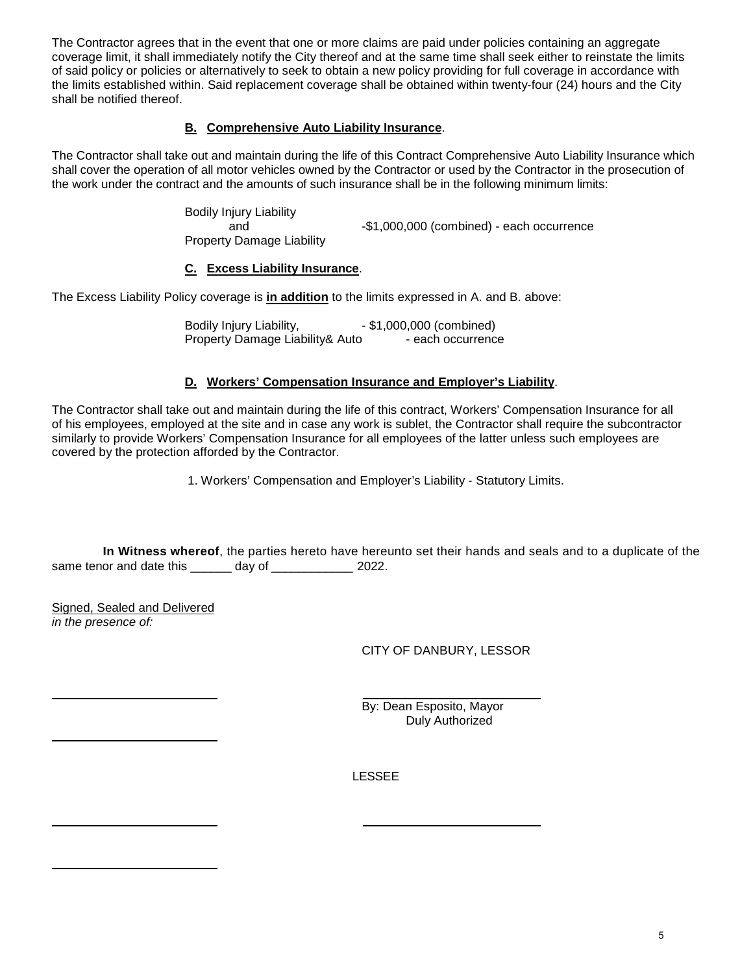The Contractor agrees that in the event that one or more claims are paid under policies containing an aggregate coverage limit, it shall immediately notify the City thereof and at the same time shall seek either to reinstate the limits of said policy or policies or alternatively to seek to obtain a new policy providing for full coverage in accordance with the limits established within. Said replacement coverage shall be obtained within twenty-four (24) hours and the City shall be notified thereof.

# **B. Comprehensive Auto Liability Insurance**.

The Contractor shall take out and maintain during the life of this Contract Comprehensive Auto Liability Insurance which shall cover the operation of all motor vehicles owned by the Contractor or used by the Contractor in the prosecution of the work under the contract and the amounts of such insurance shall be in the following minimum limits:

> Bodily Injury Liability and  $-$ \$1,000,000 (combined) - each occurrence Property Damage Liability

# **C. Excess Liability Insurance**.

The Excess Liability Policy coverage is **in addition** to the limits expressed in A. and B. above:

Bodily Injury Liability, **- \$1,000,000** (combined) Property Damage Liability& Auto - each occurrence

## **D. Workers' Compensation Insurance and Employer's Liability**.

The Contractor shall take out and maintain during the life of this contract, Workers' Compensation Insurance for all of his employees, employed at the site and in case any work is sublet, the Contractor shall require the subcontractor similarly to provide Workers' Compensation Insurance for all employees of the latter unless such employees are covered by the protection afforded by the Contractor.

1. Workers' Compensation and Employer's Liability - Statutory Limits.

**In Witness whereof**, the parties hereto have hereunto set their hands and seals and to a duplicate of the same tenor and date this \_\_\_\_\_\_ day of \_\_\_\_\_\_\_\_\_\_\_\_ 2022.

Signed, Sealed and Delivered *in the presence of:*

CITY OF DANBURY, LESSOR

By: Dean Esposito, Mayor Duly Authorized

LESSEE